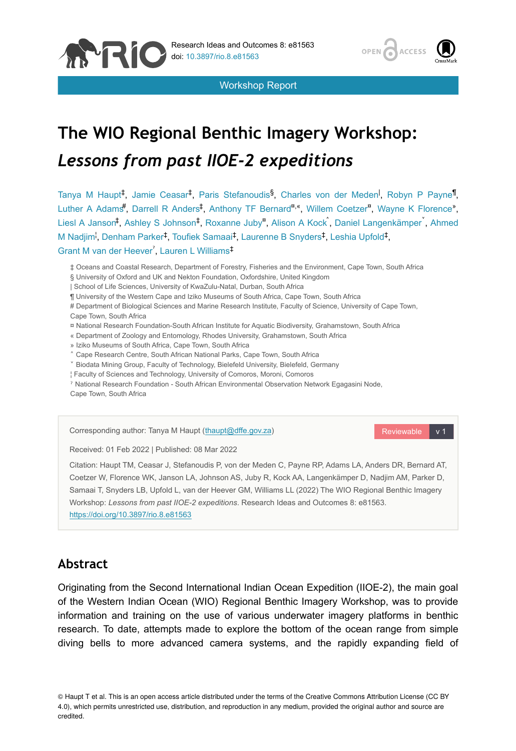

Workshop Report



# **The WIO Regional Benthic Imagery Workshop:**  *Lessons from past IIOE-2 expeditions*

Tanya M Haupt<sup>‡</sup>, Jamie Ceasar<sup>t</sup>, Paris Stefanoudis<sup>§</sup>, Charles von der Meden<sup>I</sup>, Robyn P Payne<sup>¶</sup>, Luther A Adams<sup>#</sup>, Darrell R Anders<sup>‡</sup>, Anthony TF Bernard<sup>n</sup>, Willem Coetzer<sup>n</sup>, Wayne K Florence<sup>»</sup>, Liesl A Janson<sup>‡</sup>, Ashley S Johnson<sup>‡</sup>, Roxanne Juby<sup>a</sup>, Alison A Kock , Daniel Langenkämper , Ahmed M Nadjim<sup>i</sup>, Denham Parker<sup>‡</sup>, Toufiek Samaai<sup>‡</sup>, Laurenne B Snyders<sup>‡</sup>, Leshia Upfold<sup>‡</sup>, Grant M van der Heever<sup>7</sup>, Lauren L Williams<sup>‡</sup>

‡ Oceans and Coastal Research, Department of Forestry, Fisheries and the Environment, Cape Town, South Africa

- § University of Oxford and UK and Nekton Foundation, Oxfordshire, United Kingdom
- | School of Life Sciences, University of KwaZulu-Natal, Durban, South Africa
- ¶ University of the Western Cape and Iziko Museums of South Africa, Cape Town, South Africa
- # Department of Biological Sciences and Marine Research Institute, Faculty of Science, University of Cape Town, Cape Town, South Africa
- ¤ National Research Foundation-South African Institute for Aquatic Biodiversity, Grahamstown, South Africa
- « Department of Zoology and Entomology, Rhodes University, Grahamstown, South Africa
- » Iziko Museums of South Africa, Cape Town, South Africa
- ˄ Cape Research Centre, South African National Parks, Cape Town, South Africa
- ˅ Biodata Mining Group, Faculty of Technology, Bielefeld University, Bielefeld, Germany
- ¦ Faculty of Sciences and Technology, University of Comoros, Moroni, Comoros
- ˀ National Research Foundation South African Environmental Observation Network Egagasini Node, Cape Town, South Africa

Corresponding author: Tanya M Haupt ([thaupt@dffe.gov.za\)](mailto:thaupt@dffe.gov.za)

Reviewable v 1

Received: 01 Feb 2022 | Published: 08 Mar 2022

Citation: Haupt TM, Ceasar J, Stefanoudis P, von der Meden C, Payne RP, Adams LA, Anders DR, Bernard AT, Coetzer W, Florence WK, Janson LA, Johnson AS, Juby R, Kock AA, Langenkämper D, Nadjim AM, Parker D, Samaai T, Snyders LB, Upfold L, van der Heever GM, Williams LL (2022) The WIO Regional Benthic Imagery Workshop: *Lessons from past IIOE-2 expeditions*. Research Ideas and Outcomes 8: e81563. <https://doi.org/10.3897/rio.8.e81563>

## **Abstract**

Originating from the Second International Indian Ocean Expedition (IIOE-2), the main goal of the Western Indian Ocean (WIO) Regional Benthic Imagery Workshop, was to provide information and training on the use of various underwater imagery platforms in benthic research. To date, attempts made to explore the bottom of the ocean range from simple diving bells to more advanced camera systems, and the rapidly expanding field of

© Haupt T et al. This is an open access article distributed under the terms of the Creative Commons Attribution License (CC BY 4.0), which permits unrestricted use, distribution, and reproduction in any medium, provided the original author and source are credited.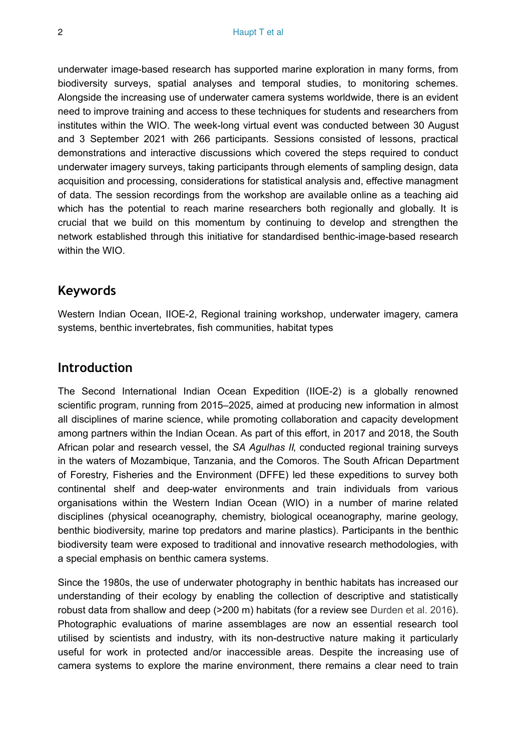underwater image-based research has supported marine exploration in many forms, from biodiversity surveys, spatial analyses and temporal studies, to monitoring schemes. Alongside the increasing use of underwater camera systems worldwide, there is an evident need to improve training and access to these techniques for students and researchers from institutes within the WIO. The week-long virtual event was conducted between 30 August and 3 September 2021 with 266 participants. Sessions consisted of lessons, practical demonstrations and interactive discussions which covered the steps required to conduct underwater imagery surveys, taking participants through elements of sampling design, data acquisition and processing, considerations for statistical analysis and, effective managment of data. The session recordings from the workshop are available online as a teaching aid which has the potential to reach marine researchers both regionally and globally. It is crucial that we build on this momentum by continuing to develop and strengthen the network established through this initiative for standardised benthic-image-based research within the WIO.

## **Keywords**

Western Indian Ocean, IIOE-2, Regional training workshop, underwater imagery, camera systems, benthic invertebrates, fish communities, habitat types

## **Introduction**

The Second International Indian Ocean Expedition (IIOE-2) is a globally renowned scientific program, running from 2015–2025, aimed at producing new information in almost all disciplines of marine science, while promoting collaboration and capacity development among partners within the Indian Ocean. As part of this effort, in 2017 and 2018, the South African polar and research vessel, the *SA Agulhas II*, conducted regional training surveys in the waters of Mozambique, Tanzania, and the Comoros. The South African Department of Forestry, Fisheries and the Environment (DFFE) led these expeditions to survey both continental shelf and deep-water environments and train individuals from various organisations within the Western Indian Ocean (WIO) in a number of marine related disciplines (physical oceanography, chemistry, biological oceanography, marine geology, benthic biodiversity, marine top predators and marine plastics). Participants in the benthic biodiversity team were exposed to traditional and innovative research methodologies, with a special emphasis on benthic camera systems.

Since the 1980s, the use of underwater photography in benthic habitats has increased our understanding of their ecology by enabling the collection of descriptive and statistically robust data from shallow and deep (>200 m) habitats (for a review see [Durden et al. 2016\)](#page-12-0). Photographic evaluations of marine assemblages are now an essential research tool utilised by scientists and industry, with its non-destructive nature making it particularly useful for work in protected and/or inaccessible areas. Despite the increasing use of camera systems to explore the marine environment, there remains a clear need to train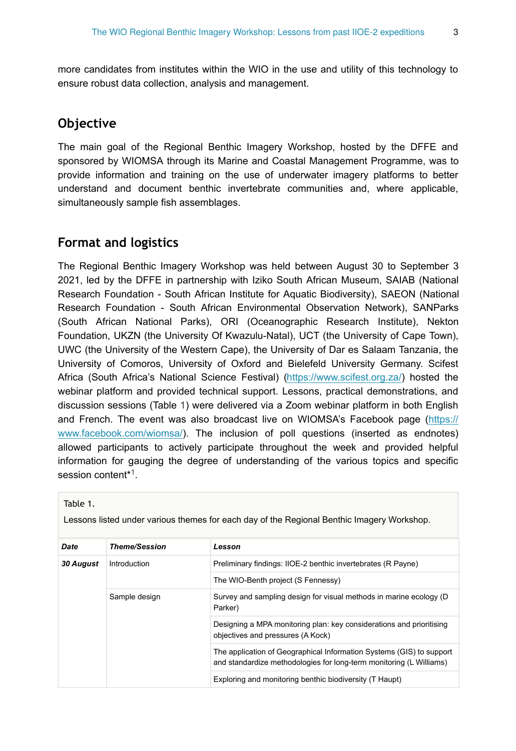more candidates from institutes within the WIO in the use and utility of this technology to ensure robust data collection, analysis and management.

## **Objective**

The main goal of the Regional Benthic Imagery Workshop, hosted by the DFFE and sponsored by WIOMSA through its Marine and Coastal Management Programme, was to provide information and training on the use of underwater imagery platforms to better understand and document benthic invertebrate communities and, where applicable, simultaneously sample fish assemblages.

## **Format and logistics**

The Regional Benthic Imagery Workshop was held between August 30 to September 3 2021, led by the DFFE in partnership with Iziko South African Museum, SAIAB (National Research Foundation - South African Institute for Aquatic Biodiversity), SAEON (National Research Foundation - South African Environmental Observation Network), SANParks (South African National Parks), ORI (Oceanographic Research Institute), Nekton Foundation, UKZN (the University Of Kwazulu-Natal), UCT (the University of Cape Town), UWC (the University of the Western Cape), the University of Dar es Salaam Tanzania, the University of Comoros, University of Oxford and Bielefeld University Germany. Scifest Africa (South Africa's National Science Festival) [\(https://www.scifest.org.za/\)](https://www.scifest.org.za/) hosted the webinar platform and provided technical support. Lessons, practical demonstrations, and discussion sessions (Table [1](#page-2-0)) were delivered via a Zoom webinar platform in both English and French. The event was also broadcast live on WIOMSA's Facebook page [\(https://](https://www.facebook.com/wiomsa/) [www.facebook.com/wiomsa/](https://www.facebook.com/wiomsa/)). The inclusion of poll questions (inserted as endnotes) allowed participants to actively participate throughout the week and provided helpful information for gauging the degree of understanding of the various topics and specific session content[\\*](#page-13-0)<sup>1</sup>.

<span id="page-2-0"></span>Table 1.

Lessons listed under various themes for each day of the Regional Benthic Imagery Workshop.

| <b>Date</b>      | <b>Theme/Session</b> | Lesson                                                                                                                                      |  |  |  |
|------------------|----------------------|---------------------------------------------------------------------------------------------------------------------------------------------|--|--|--|
| <b>30 August</b> | Introduction         | Preliminary findings: IIOE-2 benthic invertebrates (R Payne)                                                                                |  |  |  |
|                  |                      | The WIO-Benth project (S Fennessy)                                                                                                          |  |  |  |
|                  | Sample design        | Survey and sampling design for visual methods in marine ecology (D)<br>Parker)                                                              |  |  |  |
|                  |                      | Designing a MPA monitoring plan: key considerations and prioritising<br>objectives and pressures (A Kock)                                   |  |  |  |
|                  |                      | The application of Geographical Information Systems (GIS) to support<br>and standardize methodologies for long-term monitoring (L Williams) |  |  |  |
|                  |                      | Exploring and monitoring benthic biodiversity (T Haupt)                                                                                     |  |  |  |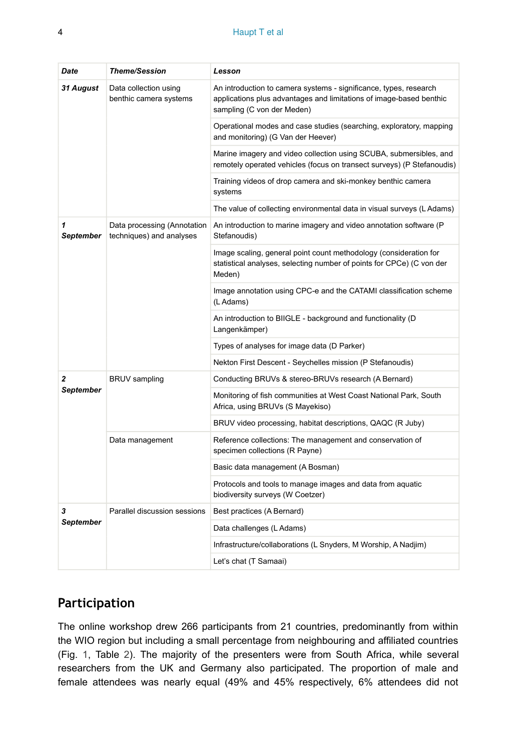| Date                  | <b>Theme/Session</b>                                    | Lesson                                                                                                                                                                 |  |  |
|-----------------------|---------------------------------------------------------|------------------------------------------------------------------------------------------------------------------------------------------------------------------------|--|--|
| <b>31 August</b>      | Data collection using<br>benthic camera systems         | An introduction to camera systems - significance, types, research<br>applications plus advantages and limitations of image-based benthic<br>sampling (C von der Meden) |  |  |
|                       |                                                         | Operational modes and case studies (searching, exploratory, mapping<br>and monitoring) (G Van der Heever)                                                              |  |  |
|                       |                                                         | Marine imagery and video collection using SCUBA, submersibles, and<br>remotely operated vehicles (focus on transect surveys) (P Stefanoudis)                           |  |  |
|                       |                                                         | Training videos of drop camera and ski-monkey benthic camera<br>systems                                                                                                |  |  |
|                       |                                                         | The value of collecting environmental data in visual surveys (L Adams)                                                                                                 |  |  |
| 1<br><b>September</b> | Data processing (Annotation<br>techniques) and analyses | An introduction to marine imagery and video annotation software (P)<br>Stefanoudis)                                                                                    |  |  |
|                       |                                                         | Image scaling, general point count methodology (consideration for<br>statistical analyses, selecting number of points for CPCe) (C von der<br>Meden)                   |  |  |
|                       |                                                         | Image annotation using CPC-e and the CATAMI classification scheme<br>(L Adams)                                                                                         |  |  |
|                       |                                                         | An introduction to BIIGLE - background and functionality (D)<br>Langenkämper)                                                                                          |  |  |
|                       |                                                         | Types of analyses for image data (D Parker)                                                                                                                            |  |  |
|                       |                                                         | Nekton First Descent - Seychelles mission (P Stefanoudis)                                                                                                              |  |  |
| 2                     | <b>BRUV</b> sampling                                    | Conducting BRUVs & stereo-BRUVs research (A Bernard)                                                                                                                   |  |  |
| <b>September</b>      |                                                         | Monitoring of fish communities at West Coast National Park, South<br>Africa, using BRUVs (S Mayekiso)                                                                  |  |  |
|                       |                                                         | BRUV video processing, habitat descriptions, QAQC (R Juby)                                                                                                             |  |  |
|                       | Data management                                         | Reference collections: The management and conservation of<br>specimen collections (R Payne)                                                                            |  |  |
|                       |                                                         | Basic data management (A Bosman)                                                                                                                                       |  |  |
|                       |                                                         | Protocols and tools to manage images and data from aquatic<br>biodiversity surveys (W Coetzer)                                                                         |  |  |
| 3<br><b>September</b> | Parallel discussion sessions                            | Best practices (A Bernard)                                                                                                                                             |  |  |
|                       |                                                         | Data challenges (L Adams)                                                                                                                                              |  |  |
|                       |                                                         | Infrastructure/collaborations (L Snyders, M Worship, A Nadjim)                                                                                                         |  |  |
|                       |                                                         | Let's chat (T Samaai)                                                                                                                                                  |  |  |

## **Participation**

The online workshop drew 266 participants from 21 countries, predominantly from within the WIO region but including a small percentage from neighbouring and affiliated countries (Fig. [1,](#page-6-0) Table [2](#page-4-0)). The majority of the presenters were from South Africa, while several researchers from the UK and Germany also participated. The proportion of male and female attendees was nearly equal (49% and 45% respectively, 6% attendees did not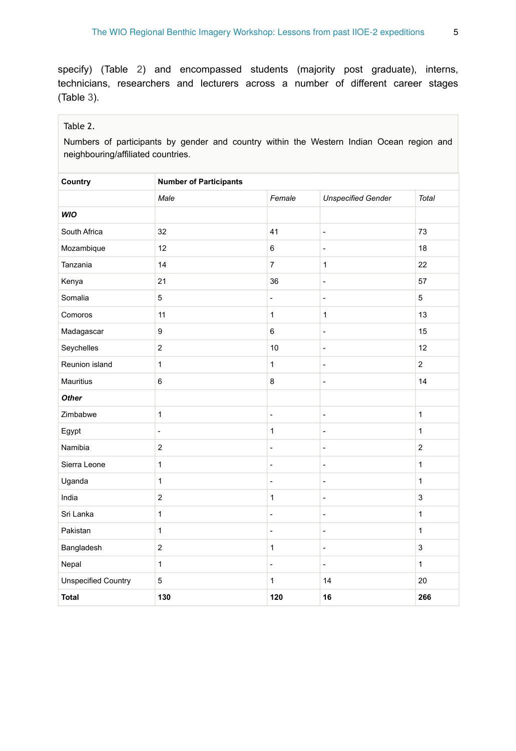specify) (Table [2](#page-4-0)) and encompassed students (majority post graduate), interns, technicians, researchers and lecturers across a number of different career stages (Table [3](#page-5-0)).

#### <span id="page-4-0"></span>Table 2.

Numbers of participants by gender and country within the Western Indian Ocean region and neighbouring/affiliated countries.

| Country                    | <b>Number of Participants</b> |                          |                              |                |  |  |  |
|----------------------------|-------------------------------|--------------------------|------------------------------|----------------|--|--|--|
|                            | Male                          | Female                   | <b>Unspecified Gender</b>    | Total          |  |  |  |
| WIO                        |                               |                          |                              |                |  |  |  |
| South Africa               | 32                            | 41                       | $\overline{a}$               | 73             |  |  |  |
| Mozambique                 | 12                            | 6                        | ÷,                           | 18             |  |  |  |
| Tanzania                   | 14                            | $\overline{7}$           | $\mathbf{1}$                 | 22             |  |  |  |
| Kenya                      | 21                            | 36                       | $\overline{a}$               | 57             |  |  |  |
| Somalia                    | 5                             | $\blacksquare$           | $\overline{a}$               | 5              |  |  |  |
| Comoros                    | 11                            | $\mathbf{1}$             | $\mathbf{1}$                 | 13             |  |  |  |
| Madagascar                 | 9                             | 6                        | $\qquad \qquad \blacksquare$ | 15             |  |  |  |
| Seychelles                 | $\boldsymbol{2}$              | 10                       | ÷,                           | 12             |  |  |  |
| Reunion island             | $\mathbf{1}$                  | $\mathbf{1}$             | $\qquad \qquad \blacksquare$ | $\overline{2}$ |  |  |  |
| Mauritius                  | $\,6$                         | 8                        | $\qquad \qquad \blacksquare$ | 14             |  |  |  |
| Other                      |                               |                          |                              |                |  |  |  |
| Zimbabwe                   | $\mathbf{1}$                  | $\overline{a}$           | $\overline{a}$               | $\mathbf{1}$   |  |  |  |
| Egypt                      | $\overline{\phantom{a}}$      | $\mathbf{1}$             | $\overline{a}$               | $\mathbf{1}$   |  |  |  |
| Namibia                    | $\overline{\mathbf{c}}$       | $\overline{\phantom{a}}$ | $\overline{a}$               | $\overline{2}$ |  |  |  |
| Sierra Leone               | $\mathbf{1}$                  | $\overline{a}$           | $\overline{a}$               | $\mathbf{1}$   |  |  |  |
| Uganda                     | $\mathbf{1}$                  | $\frac{1}{2}$            | $\overline{a}$               | $\mathbf{1}$   |  |  |  |
| India                      | $\overline{2}$                | $\mathbf{1}$             | $\qquad \qquad \blacksquare$ | 3              |  |  |  |
| Sri Lanka                  | $\mathbf{1}$                  | $\blacksquare$           | $\qquad \qquad \blacksquare$ | $\mathbf{1}$   |  |  |  |
| Pakistan                   | $\mathbf{1}$                  | $\frac{1}{2}$            | $\qquad \qquad \blacksquare$ | $\mathbf{1}$   |  |  |  |
| Bangladesh                 | $\overline{c}$                | $\mathbf{1}$             | ÷,                           | 3              |  |  |  |
| Nepal                      | $\mathbf{1}$                  | $\overline{\phantom{a}}$ | $\overline{\phantom{a}}$     | $\mathbf{1}$   |  |  |  |
| <b>Unspecified Country</b> | 5                             | $\mathbf{1}$             | 14                           | 20             |  |  |  |
| <b>Total</b>               | 130                           | 120                      | 16                           | 266            |  |  |  |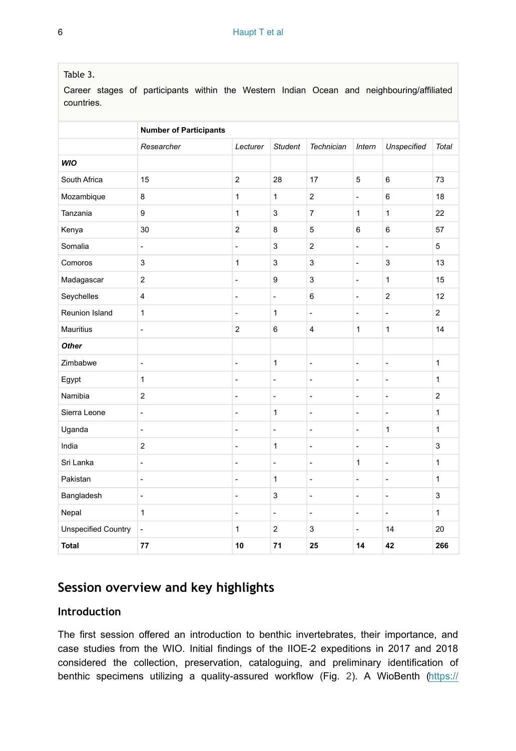#### <span id="page-5-0"></span>Table 3.

Career stages of participants within the Western Indian Ocean and neighbouring/affiliated countries.

|                            | <b>Number of Participants</b> |                          |                          |                          |                              |                              |                |  |  |
|----------------------------|-------------------------------|--------------------------|--------------------------|--------------------------|------------------------------|------------------------------|----------------|--|--|
|                            | Researcher                    | Lecturer                 | <b>Student</b>           | <b>Technician</b>        | Intern                       | <b>Unspecified</b>           | <b>Total</b>   |  |  |
| WIO                        |                               |                          |                          |                          |                              |                              |                |  |  |
| South Africa               | 15                            | $\overline{2}$           | 28                       | 17                       | 5                            | $\,6\,$                      | 73             |  |  |
| Mozambique                 | 8                             | $\mathbf{1}$             | 1                        | $\overline{2}$           | $\overline{\phantom{a}}$     | 6                            | 18             |  |  |
| Tanzania                   | 9                             | $\mathbf{1}$             | 3                        | $\overline{7}$           | 1                            | $\mathbf{1}$                 | 22             |  |  |
| Kenya                      | 30                            | $\mathbf 2$              | 8                        | 5                        | 6                            | 6                            | 57             |  |  |
| Somalia                    | $\overline{a}$                | $\overline{\phantom{a}}$ | 3                        | $\overline{2}$           | $\overline{a}$               | $\frac{1}{2}$                | 5              |  |  |
| Comoros                    | 3                             | $\mathbf{1}$             | 3                        | 3                        | $\overline{\phantom{a}}$     | 3                            | 13             |  |  |
| Madagascar                 | $\overline{2}$                | $\overline{\phantom{a}}$ | 9                        | 3                        | $\qquad \qquad \blacksquare$ | $\mathbf{1}$                 | 15             |  |  |
| Seychelles                 | $\overline{\mathbf{4}}$       | $\overline{\phantom{a}}$ | $\overline{a}$           | 6                        | $\overline{\phantom{a}}$     | $\overline{2}$               | 12             |  |  |
| Reunion Island             | $\mathbf{1}$                  | $\overline{\phantom{a}}$ | $\mathbf{1}$             | $\frac{1}{2}$            | $\overline{\phantom{a}}$     | $\overline{\phantom{a}}$     | $\overline{2}$ |  |  |
| <b>Mauritius</b>           | $\overline{a}$                | $\overline{2}$           | 6                        | $\overline{\mathbf{4}}$  | 1                            | $\mathbf{1}$                 | 14             |  |  |
| <b>Other</b>               |                               |                          |                          |                          |                              |                              |                |  |  |
| Zimbabwe                   | ÷,                            | $\overline{\phantom{a}}$ | $\mathbf{1}$             | $\overline{a}$           | $\overline{\phantom{a}}$     | $\overline{a}$               | $\mathbf{1}$   |  |  |
| Egypt                      | $\mathbf{1}$                  | $\overline{\phantom{a}}$ | $\overline{a}$           | -                        | $\overline{\phantom{a}}$     | $\overline{\phantom{a}}$     | $\mathbf{1}$   |  |  |
| Namibia                    | $\overline{2}$                | $\overline{\phantom{a}}$ | $\overline{a}$           | $\overline{a}$           | $\qquad \qquad \blacksquare$ | $\qquad \qquad \blacksquare$ | $\overline{2}$ |  |  |
| Sierra Leone               | $\overline{a}$                | $\overline{\phantom{a}}$ | 1                        | $\overline{a}$           | $\overline{a}$               | $\overline{\phantom{a}}$     | $\mathbf{1}$   |  |  |
| Uganda                     | $\blacksquare$                | $\overline{\phantom{a}}$ | $\frac{1}{2}$            | $\overline{\phantom{a}}$ | $\frac{1}{2}$                | 1                            | $\mathbf{1}$   |  |  |
| India                      | $\overline{2}$                | $\overline{\phantom{a}}$ | $\mathbf{1}$             | $\overline{\phantom{a}}$ | $\overline{\phantom{a}}$     | $\overline{\phantom{a}}$     | 3              |  |  |
| Sri Lanka                  | $\overline{a}$                | $\overline{a}$           | $\overline{\phantom{a}}$ | $\overline{\phantom{0}}$ | 1                            | $\blacksquare$               | $\mathbf{1}$   |  |  |
| Pakistan                   | ÷,                            | $\blacksquare$           | $\mathbf{1}$             | L,                       | ÷,                           | $\overline{\phantom{a}}$     | $\mathbf{1}$   |  |  |
| Bangladesh                 | $\qquad \qquad \blacksquare$  | $\overline{\phantom{a}}$ | 3                        | $\overline{\phantom{0}}$ | $\overline{\phantom{a}}$     | $\overline{\phantom{a}}$     | 3              |  |  |
| Nepal                      | $\mathbf{1}$                  | $\blacksquare$           | ÷,                       | L,                       | $\overline{\phantom{a}}$     | $\overline{\phantom{a}}$     | $\mathbf{1}$   |  |  |
| <b>Unspecified Country</b> | $\overline{a}$                | $\mathbf{1}$             | $\overline{2}$           | 3                        | $\blacksquare$               | 14                           | 20             |  |  |
| <b>Total</b>               | 77                            | 10                       | 71                       | 25                       | 14                           | 42                           | 266            |  |  |

## **Session overview and key highlights**

### **Introduction**

The first session offered an introduction to benthic invertebrates, their importance, and case studies from the WIO. Initial findings of the IIOE-2 expeditions in 2017 and 2018 considered the collection, preservation, cataloguing, and preliminary identification of benthic specimens utilizing a quality-assured workflow (Fig. [2\)](#page-7-0). A WioBenth [\(https://](https://www.wiomsa.org/ongoing-project/wio-wio-benth-identification-characterization-and-vulnerability-assessment-of-benthic-ecosystems-in-the-wio/)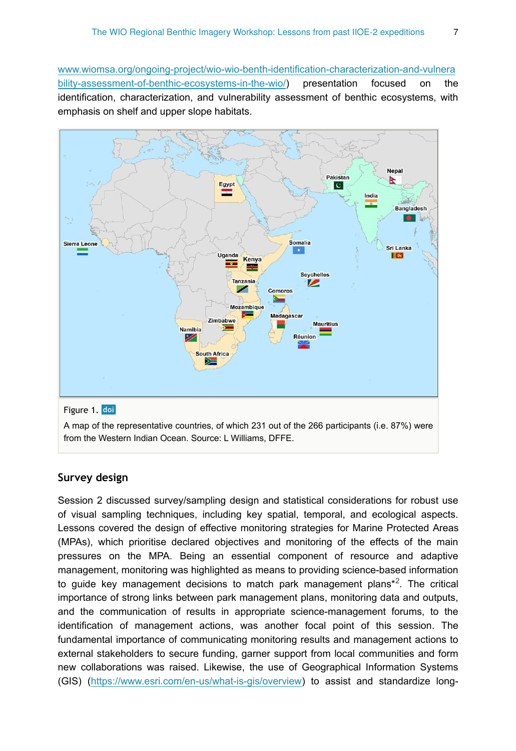[www.wiomsa.org/ongoing-project/wio-wio-benth-identification-characterization-and-vulnera](https://www.wiomsa.org/ongoing-project/wio-wio-benth-identification-characterization-and-vulnerability-assessment-of-benthic-ecosystems-in-the-wio/) [bility-assessment-of-benthic-ecosystems-in-the-wio/](https://www.wiomsa.org/ongoing-project/wio-wio-benth-identification-characterization-and-vulnerability-assessment-of-benthic-ecosystems-in-the-wio/)) presentation focused on the identification, characterization, and vulnerability assessment of benthic ecosystems, with emphasis on shelf and upper slope habitats.

<span id="page-6-0"></span>

A map of the representative countries, of which 231 out of the 266 participants (i.e. 87%) were from the Western Indian Ocean. Source: L Williams, DFFE.

#### **Survey design**

Session 2 discussed survey/sampling design and statistical considerations for robust use of visual sampling techniques, including key spatial, temporal, and ecological aspects. Lessons covered the design of effective monitoring strategies for Marine Protected Areas (MPAs), which prioritise declared objectives and monitoring of the effects of the main pressures on the MPA. Being an essential component of resource and adaptive management, monitoring was highlighted as means to providing science-based information to guide key management decisions to match park management plans<sup>\*2</sup>. The critical importance of strong links between park management plans, monitoring data and outputs, and the communication of results in appropriate science-management forums, to the identification of management actions, was another focal point of this session. The fundamental importance of communicating monitoring results and management actions to external stakeholders to secure funding, garner support from local communities and form new collaborations was raised. Likewise, the use of Geographical Information Systems (GIS) [\(https://www.esri.com/en-us/what-is-gis/overview](https://www.esri.com/en-us/what-is-gis/overview)) to assist and standardize long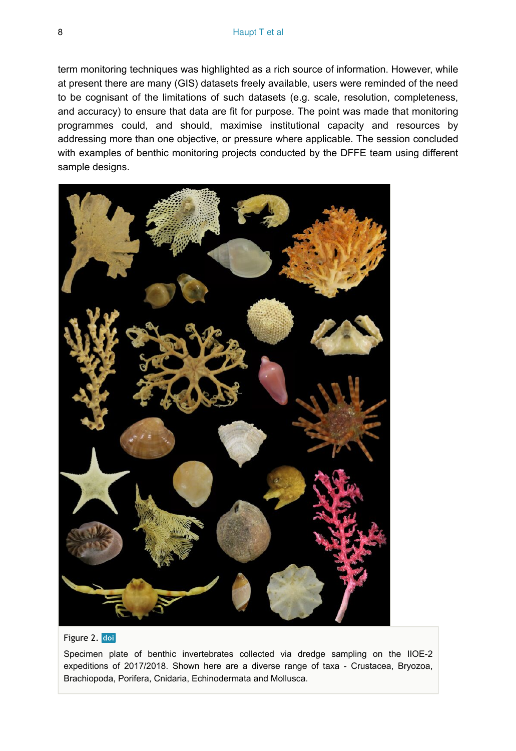term monitoring techniques was highlighted as a rich source of information. However, while at present there are many (GIS) datasets freely available, users were reminded of the need to be cognisant of the limitations of such datasets (e.g. scale, resolution, completeness, and accuracy) to ensure that data are fit for purpose. The point was made that monitoring programmes could, and should, maximise institutional capacity and resources by addressing more than one objective, or pressure where applicable. The session concluded with examples of benthic monitoring projects conducted by the DFFE team using different sample designs.

<span id="page-7-0"></span>

#### Figure 2. doi

Specimen plate of benthic invertebrates collected via dredge sampling on the IIOE-2 expeditions of 2017/2018. Shown here are a diverse range of taxa - Crustacea, Bryozoa, Brachiopoda, Porifera, Cnidaria, Echinodermata and Mollusca.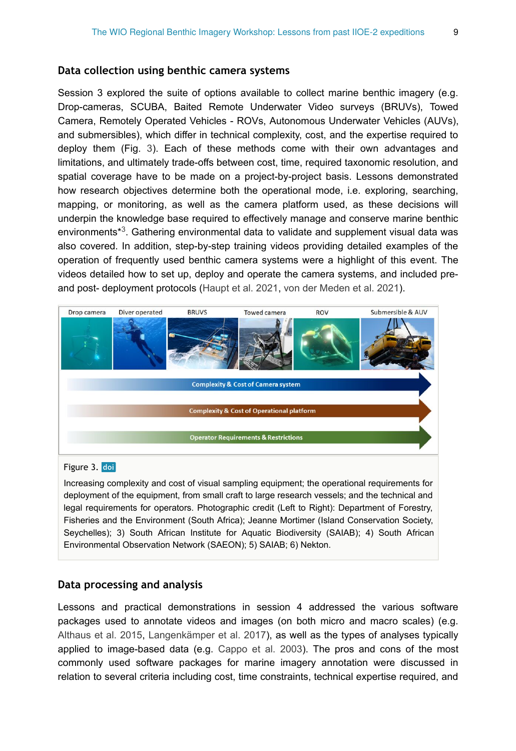#### **Data collection using benthic camera systems**

Session 3 explored the suite of options available to collect marine benthic imagery (e.g. Drop-cameras, SCUBA, Baited Remote Underwater Video surveys (BRUVs), Towed Camera, Remotely Operated Vehicles - ROVs, Autonomous Underwater Vehicles (AUVs), and submersibles), which differ in technical complexity, cost, and the expertise required to deploy them (Fig. [3](#page-8-0)). Each of these methods come with their own advantages and limitations, and ultimately trade-offs between cost, time, required taxonomic resolution, and spatial coverage have to be made on a project-by-project basis. Lessons demonstrated how research objectives determine both the operational mode, i.e. exploring, searching, mapping, or monitoring, as well as the camera platform used, as these decisions will underpin the knowledge base required to effectively manage and conserve marine benthic environments $*3$ . Gathering environmental data to validate and supplement visual data was also covered. In addition, step-by-step training videos providing detailed examples of the operation of frequently used benthic camera systems were a highlight of this event. The videos detailed how to set up, deploy and operate the camera systems, and included preand post- deployment protocols ([Haupt et al. 2021](#page-12-1), [von der Meden et al. 2021\)](#page-13-3).

<span id="page-8-0"></span>

#### Figure 3. doi

Increasing complexity and cost of visual sampling equipment; the operational requirements for deployment of the equipment, from small craft to large research vessels; and the technical and legal requirements for operators. Photographic credit (Left to Right): Department of Forestry, Fisheries and the Environment (South Africa); Jeanne Mortimer (Island Conservation Society, Seychelles); 3) South African Institute for Aquatic Biodiversity (SAIAB); 4) South African Environmental Observation Network (SAEON); 5) SAIAB; 6) Nekton.

#### **Data processing and analysis**

Lessons and practical demonstrations in session 4 addressed the various software packages used to annotate videos and images (on both micro and macro scales) (e.g. [Althaus et al. 2015,](#page-12-2) [Langenkämper et al. 2017](#page-12-3)), as well as the types of analyses typically applied to image-based data (e.g. [Cappo et al. 2003\)](#page-12-4). The pros and cons of the most commonly used software packages for marine imagery annotation were discussed in relation to several criteria including cost, time constraints, technical expertise required, and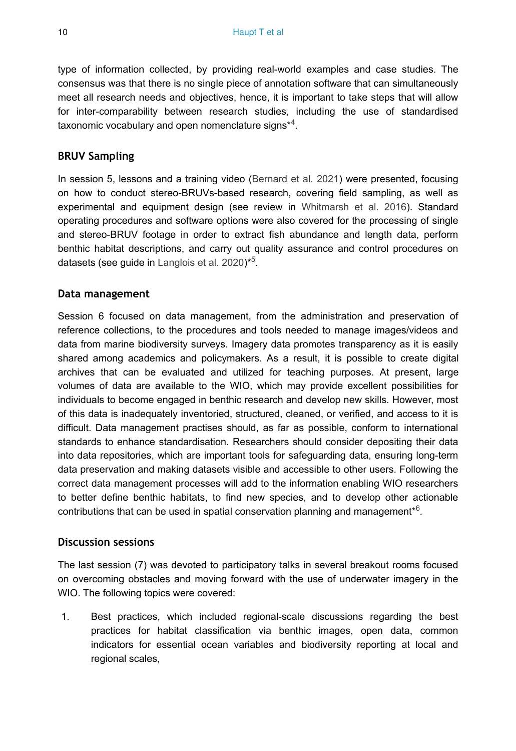type of information collected, by providing real-world examples and case studies. The consensus was that there is no single piece of annotation software that can simultaneously meet all research needs and objectives, hence, it is important to take steps that will allow for inter-comparability between research studies, including the use of standardised taxonomic vocabulary and open nomenclature signs $*$ <sup>4</sup>.

#### **BRUV Sampling**

In session 5, lessons and a training video [\(Bernard et al. 2021](#page-12-5)) were presented, focusing on how to conduct stereo-BRUVs-based research, covering field sampling, as well as experimental and equipment design (see review in [Whitmarsh et al. 2016](#page-13-5)). Standard operating procedures and software options were also covered for the processing of single and stereo-BRUV footage in order to extract fish abundance and length data, perform benthic habitat descriptions, and carry out quality assurance and control procedures on datasets (see guide in [Langlois et al. 2020](#page-13-6)) $*5$ .

#### **Data management**

Session 6 focused on data management, from the administration and preservation of reference collections, to the procedures and tools needed to manage images/videos and data from marine biodiversity surveys. Imagery data promotes transparency as it is easily shared among academics and policymakers. As a result, it is possible to create digital archives that can be evaluated and utilized for teaching purposes. At present, large volumes of data are available to the WIO, which may provide excellent possibilities for individuals to become engaged in benthic research and develop new skills. However, most of this data is inadequately inventoried, structured, cleaned, or verified, and access to it is difficult. Data management practises should, as far as possible, conform to international standards to enhance standardisation. Researchers should consider depositing their data into data repositories, which are important tools for safeguarding data, ensuring long-term data preservation and making datasets visible and accessible to other users. Following the correct data management processes will add to the information enabling WIO researchers to better define benthic habitats, to find new species, and to develop other actionable contributions that can be used in spatial conservation planning and management $*$ <sup>6</sup>.

#### **Discussion sessions**

The last session (7) was devoted to participatory talks in several breakout rooms focused on overcoming obstacles and moving forward with the use of underwater imagery in the WIO. The following topics were covered:

1. Best practices, which included regional-scale discussions regarding the best practices for habitat classification via benthic images, open data, common indicators for essential ocean variables and biodiversity reporting at local and regional scales,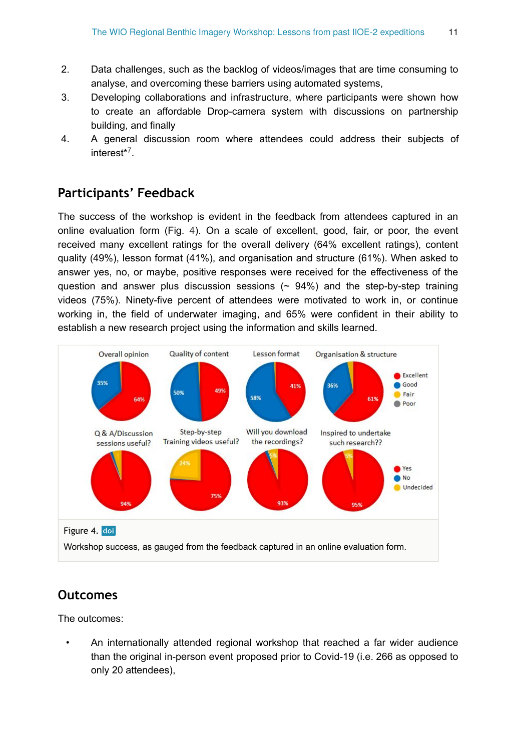- 2. Data challenges, such as the backlog of videos/images that are time consuming to analyse, and overcoming these barriers using automated systems,
- 3. Developing collaborations and infrastructure, where participants were shown how to create an affordable Drop-camera system with discussions on partnership building, and finally
- 4. A general discussion room where attendees could address their subjects of interest<sup>[\\*](#page-13-9)7</sup>.

## **Participants' Feedback**

The success of the workshop is evident in the feedback from attendees captured in an online evaluation form (Fig. [4\)](#page-10-0). On a scale of excellent, good, fair, or poor, the event received many excellent ratings for the overall delivery (64% excellent ratings), content quality (49%), lesson format (41%), and organisation and structure (61%). When asked to answer yes, no, or maybe, positive responses were received for the effectiveness of the question and answer plus discussion sessions  $($   $\sim$  94%) and the step-by-step training videos (75%). Ninety-five percent of attendees were motivated to work in, or continue working in, the field of underwater imaging, and 65% were confident in their ability to establish a new research project using the information and skills learned.

<span id="page-10-0"></span>

## **Outcomes**

The outcomes:

• An internationally attended regional workshop that reached a far wider audience than the original in-person event proposed prior to Covid-19 (i.e. 266 as opposed to only 20 attendees),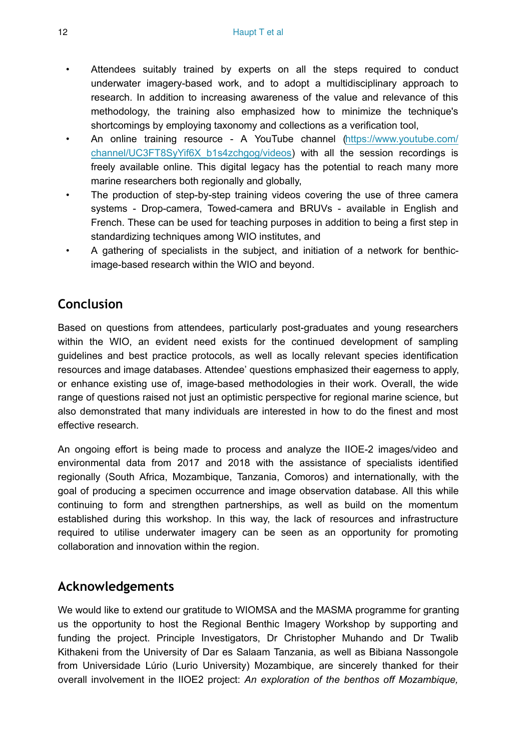- Attendees suitably trained by experts on all the steps required to conduct underwater imagery-based work, and to adopt a multidisciplinary approach to research. In addition to increasing awareness of the value and relevance of this methodology, the training also emphasized how to minimize the technique's shortcomings by employing taxonomy and collections as a verification tool,
- An online training resource A YouTube channel [\(https://www.youtube.com/](https://www.youtube.com/channel/UC3FT8SyYif6X_b1s4zchgog/videos) channel/UC3FT8SyYif6X b1s4zchgog/videos) with all the session recordings is freely available online. This digital legacy has the potential to reach many more marine researchers both regionally and globally,
- The production of step-by-step training videos covering the use of three camera systems - Drop-camera, Towed-camera and BRUVs - available in English and French. These can be used for teaching purposes in addition to being a first step in standardizing techniques among WIO institutes, and
- A gathering of specialists in the subject, and initiation of a network for benthicimage-based research within the WIO and beyond.

## **Conclusion**

Based on questions from attendees, particularly post-graduates and young researchers within the WIO, an evident need exists for the continued development of sampling guidelines and best practice protocols, as well as locally relevant species identification resources and image databases. Attendee' questions emphasized their eagerness to apply, or enhance existing use of, image-based methodologies in their work. Overall, the wide range of questions raised not just an optimistic perspective for regional marine science, but also demonstrated that many individuals are interested in how to do the finest and most effective research.

An ongoing effort is being made to process and analyze the IIOE-2 images/video and environmental data from 2017 and 2018 with the assistance of specialists identified regionally (South Africa, Mozambique, Tanzania, Comoros) and internationally, with the goal of producing a specimen occurrence and image observation database. All this while continuing to form and strengthen partnerships, as well as build on the momentum established during this workshop. In this way, the lack of resources and infrastructure required to utilise underwater imagery can be seen as an opportunity for promoting collaboration and innovation within the region.

## **Acknowledgements**

We would like to extend our gratitude to WIOMSA and the MASMA programme for granting us the opportunity to host the Regional Benthic Imagery Workshop by supporting and funding the project. Principle Investigators, Dr Christopher Muhando and Dr Twalib Kithakeni from the University of Dar es Salaam Tanzania, as well as Bibiana Nassongole from Universidade Lúrio (Lurio University) Mozambique, are sincerely thanked for their overall involvement in the IIOE2 project: *An exploration of the benthos off Mozambique,*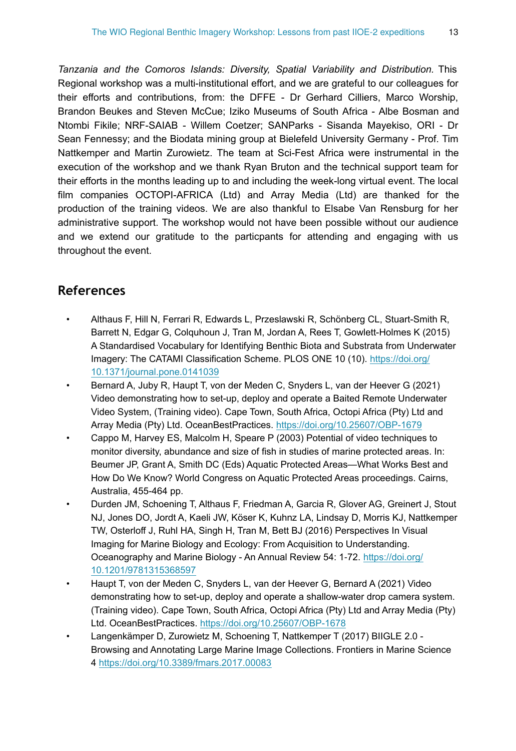*Tanzania and the Comoros Islands: Diversity, Spatial Variability and Distribution.* This Regional workshop was a multi-institutional effort, and we are grateful to our colleagues for their efforts and contributions, from: the DFFE - Dr Gerhard Cilliers, Marco Worship, Brandon Beukes and Steven McCue; Iziko Museums of South Africa - Albe Bosman and Ntombi Fikile; NRF-SAIAB - Willem Coetzer; SANParks - Sisanda Mayekiso, ORI - Dr Sean Fennessy; and the Biodata mining group at Bielefeld University Germany - Prof. Tim Nattkemper and Martin Zurowietz. The team at Sci-Fest Africa were instrumental in the execution of the workshop and we thank Ryan Bruton and the technical support team for their efforts in the months leading up to and including the week-long virtual event. The local film companies OCTOPI-AFRICA (Ltd) and Array Media (Ltd) are thanked for the production of the training videos. We are also thankful to Elsabe Van Rensburg for her administrative support. The workshop would not have been possible without our audience and we extend our gratitude to the particpants for attending and engaging with us throughout the event.

## **References**

- <span id="page-12-2"></span>• Althaus F, Hill N, Ferrari R, Edwards L, Przeslawski R, Schönberg CL, Stuart-Smith R, Barrett N, Edgar G, Colquhoun J, Tran M, Jordan A, Rees T, Gowlett-Holmes K (2015) A Standardised Vocabulary for Identifying Benthic Biota and Substrata from Underwater Imagery: The CATAMI Classification Scheme. PLOS ONE 10 (10). [https://doi.org/](https://doi.org/10.1371/journal.pone.0141039) [10.1371/journal.pone.0141039](https://doi.org/10.1371/journal.pone.0141039)
- <span id="page-12-5"></span>• Bernard A, Juby R, Haupt T, von der Meden C, Snyders L, van der Heever G (2021) Video demonstrating how to set-up, deploy and operate a Baited Remote Underwater Video System, (Training video). Cape Town, South Africa, Octopi Africa (Pty) Ltd and Array Media (Pty) Ltd. OceanBestPractices.<https://doi.org/10.25607/OBP-1679>
- <span id="page-12-4"></span>• Cappo M, Harvey ES, Malcolm H, Speare P (2003) Potential of video techniques to monitor diversity, abundance and size of fish in studies of marine protected areas. In: Beumer JP, Grant A, Smith DC (Eds) Aquatic Protected Areas—What Works Best and How Do We Know? World Congress on Aquatic Protected Areas proceedings. Cairns, Australia, 455-464 pp.
- <span id="page-12-0"></span>• Durden JM, Schoening T, Althaus F, Friedman A, Garcia R, Glover AG, Greinert J, Stout NJ, Jones DO, Jordt A, Kaeli JW, Köser K, Kuhnz LA, Lindsay D, Morris KJ, Nattkemper TW, Osterloff J, Ruhl HA, Singh H, Tran M, Bett BJ (2016) Perspectives In Visual Imaging for Marine Biology and Ecology: From Acquisition to Understanding. Oceanography and Marine Biology - An Annual Review 54: 1‑72. [https://doi.org/](https://doi.org/10.1201/9781315368597) [10.1201/9781315368597](https://doi.org/10.1201/9781315368597)
- <span id="page-12-1"></span>• Haupt T, von der Meden C, Snyders L, van der Heever G, Bernard A (2021) Video demonstrating how to set-up, deploy and operate a shallow-water drop camera system. (Training video). Cape Town, South Africa, Octopi Africa (Pty) Ltd and Array Media (Pty) Ltd. OceanBestPractices.<https://doi.org/10.25607/OBP-1678>
- <span id="page-12-3"></span>• Langenkämper D, Zurowietz M, Schoening T, Nattkemper T (2017) BIIGLE 2.0 - Browsing and Annotating Large Marine Image Collections. Frontiers in Marine Science 4 <https://doi.org/10.3389/fmars.2017.00083>